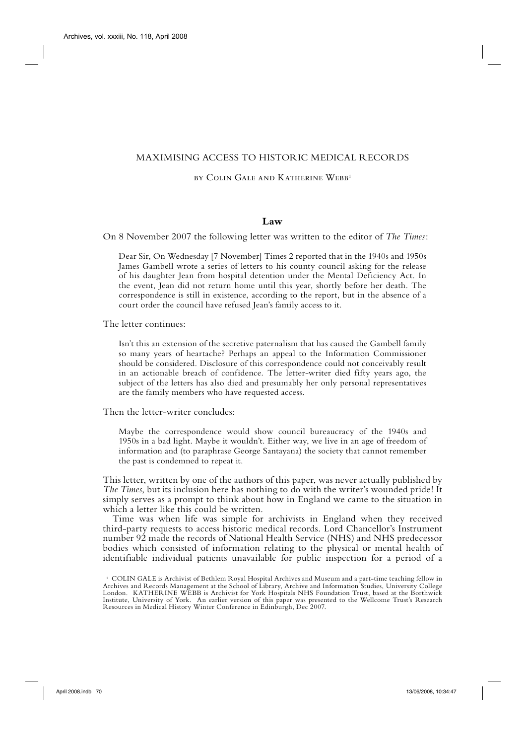### MAXIMISING ACCESS TO HISTORIC MEDICAL RECORDS

#### by COLIN GALE AND KATHERINE WEBB<sup>1</sup>

### **Law**

On 8 November 2007 the following letter was written to the editor of *The Times*:

Dear Sir, On Wednesday [7 November] Times 2 reported that in the 1940s and 1950s James Gambell wrote a series of letters to his county council asking for the release of his daughter Jean from hospital detention under the Mental Deficiency Act. In the event, Jean did not return home until this year, shortly before her death. The correspondence is still in existence, according to the report, but in the absence of a court order the council have refused Jean's family access to it.

The letter continues:

Isn't this an extension of the secretive paternalism that has caused the Gambell family so many years of heartache? Perhaps an appeal to the Information Commissioner should be considered. Disclosure of this correspondence could not conceivably result in an actionable breach of confidence. The letter-writer died fifty years ago, the subject of the letters has also died and presumably her only personal representatives are the family members who have requested access.

Then the letter-writer concludes:

Maybe the correspondence would show council bureaucracy of the 1940s and 1950s in a bad light. Maybe it wouldn't. Either way, we live in an age of freedom of information and (to paraphrase George Santayana) the society that cannot remember the past is condemned to repeat it.

This letter, written by one of the authors of this paper, was never actually published by *The Times*, but its inclusion here has nothing to do with the writer's wounded pride! It simply serves as a prompt to think about how in England we came to the situation in which a letter like this could be written.

Time was when life was simple for archivists in England when they received third-party requests to access historic medical records. Lord Chancellor's Instrument number 92 made the records of National Health Service (NHS) and NHS predecessor bodies which consisted of information relating to the physical or mental health of identifiable individual patients unavailable for public inspection for a period of a

 <sup>1</sup> COLIN GALE is Archivist of Bethlem Royal Hospital Archives and Museum and a part-time teaching fellow in Archives and Records Management at the School of Library, Archive and Information Studies, University College London. KATHERINE WEBB is Archivist for York Hospitals NHS Foundation Trust, based at the Borthwick Institute, University of York. An earlier version of this paper was presented to the Wellcome Trust's Research Resources in Medical History Winter Conference in Edinburgh, Dec 2007.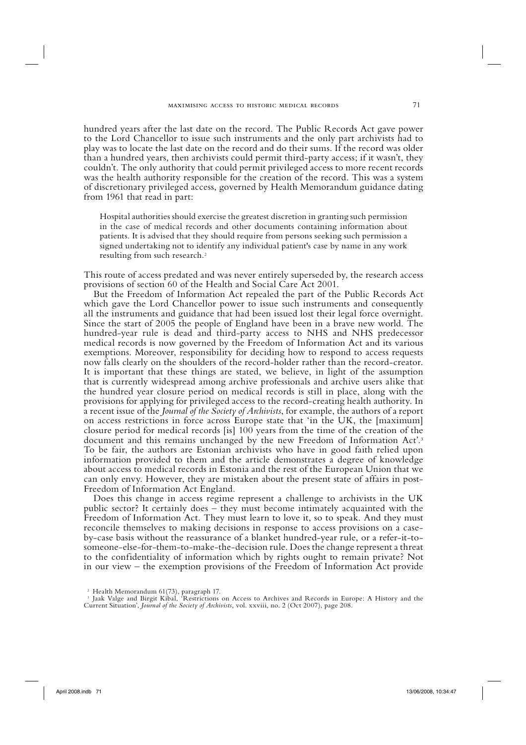hundred years after the last date on the record. The Public Records Act gave power to the Lord Chancellor to issue such instruments and the only part archivists had to play was to locate the last date on the record and do their sums. If the record was older than a hundred years, then archivists could permit third-party access; if it wasn't, they couldn't. The only authority that could permit privileged access to more recent records was the health authority responsible for the creation of the record. This was a system of discretionary privileged access, governed by Health Memorandum guidance dating from 1961 that read in part:

Hospital authorities should exercise the greatest discretion in granting such permission in the case of medical records and other documents containing information about patients. It is advised that they should require from persons seeking such permission a signed undertaking not to identify any individual patient's case by name in any work resulting from such research.2

This route of access predated and was never entirely superseded by, the research access provisions of section 60 of the Health and Social Care Act 2001.

But the Freedom of Information Act repealed the part of the Public Records Act which gave the Lord Chancellor power to issue such instruments and consequently all the instruments and guidance that had been issued lost their legal force overnight. Since the start of 2005 the people of England have been in a brave new world. The hundred-year rule is dead and third-party access to NHS and NHS predecessor medical records is now governed by the Freedom of Information Act and its various exemptions. Moreover, responsibility for deciding how to respond to access requests now falls clearly on the shoulders of the record-holder rather than the record-creator. It is important that these things are stated, we believe, in light of the assumption that is currently widespread among archive professionals and archive users alike that the hundred year closure period on medical records is still in place, along with the provisions for applying for privileged access to the record-creating health authority. In a recent issue of the *Journal of the Society of Archivists*, for example, the authors of a report on access restrictions in force across Europe state that 'in the UK, the [maximum] closure period for medical records [is] 100 years from the time of the creation of the document and this remains unchanged by the new Freedom of Information Act'.<sup>3</sup> To be fair, the authors are Estonian archivists who have in good faith relied upon information provided to them and the article demonstrates a degree of knowledge about access to medical records in Estonia and the rest of the European Union that we can only envy. However, they are mistaken about the present state of affairs in post-Freedom of Information Act England.

Does this change in access regime represent a challenge to archivists in the UK public sector? It certainly does – they must become intimately acquainted with the Freedom of Information Act. They must learn to love it, so to speak. And they must reconcile themselves to making decisions in response to access provisions on a caseby-case basis without the reassurance of a blanket hundred-year rule, or a refer-it-tosomeone-else-for-them-to-make-the-decision rule. Does the change represent a threat to the confidentiality of information which by rights ought to remain private? Not in our view – the exemption provisions of the Freedom of Information Act provide

 <sup>2</sup> Health Memorandum 61(73), paragraph 17.

 <sup>3</sup> Jaak Valge and Birgit Kibal, 'Restrictions on Access to Archives and Records in Europe: A History and the Current Situation', *Journal of the Society of Archivists,* vol. xxviii, no. 2 (Oct 2007), page 208.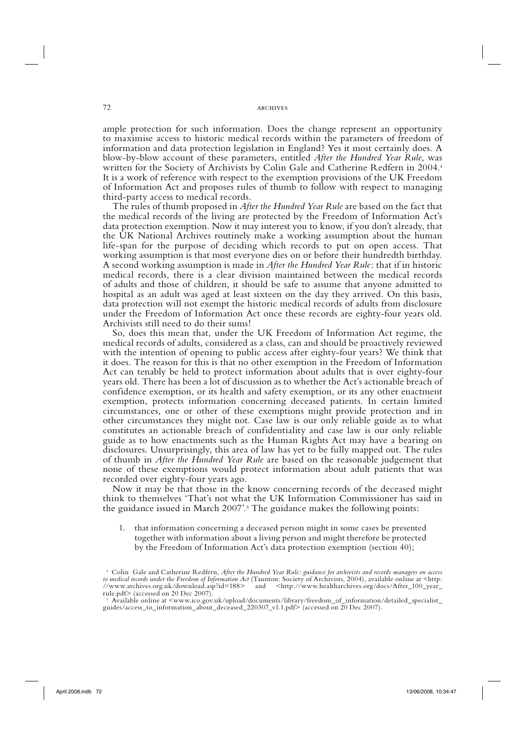#### 72 archives

ample protection for such information. Does the change represent an opportunity to maximise access to historic medical records within the parameters of freedom of information and data protection legislation in England? Yes it most certainly does. A blow-by-blow account of these parameters, entitled *After the Hundred Year Rule*, was written for the Society of Archivists by Colin Gale and Catherine Redfern in 2004.<sup>4</sup> It is a work of reference with respect to the exemption provisions of the UK Freedom of Information Act and proposes rules of thumb to follow with respect to managing third-party access to medical records.

The rules of thumb proposed in *After the Hundred Year Rule* are based on the fact that the medical records of the living are protected by the Freedom of Information Act's data protection exemption. Now it may interest you to know, if you don't already, that the UK National Archives routinely make a working assumption about the human life-span for the purpose of deciding which records to put on open access. That working assumption is that most everyone dies on or before their hundredth birthday. A second working assumption is made in *After the Hundred Year Rule*: that if in historic medical records, there is a clear division maintained between the medical records of adults and those of children, it should be safe to assume that anyone admitted to hospital as an adult was aged at least sixteen on the day they arrived. On this basis, data protection will not exempt the historic medical records of adults from disclosure under the Freedom of Information Act once these records are eighty-four years old. Archivists still need to do their sums!

So, does this mean that, under the UK Freedom of Information Act regime, the medical records of adults, considered as a class, can and should be proactively reviewed with the intention of opening to public access after eighty-four years? We think that it does. The reason for this is that no other exemption in the Freedom of Information Act can tenably be held to protect information about adults that is over eighty-four years old. There has been a lot of discussion as to whether the Act's actionable breach of confidence exemption, or its health and safety exemption, or its any other enactment exemption, protects information concerning deceased patients. In certain limited circumstances, one or other of these exemptions might provide protection and in other circumstances they might not. Case law is our only reliable guide as to what constitutes an actionable breach of confidentiality and case law is our only reliable guide as to how enactments such as the Human Rights Act may have a bearing on disclosures. Unsurprisingly, this area of law has yet to be fully mapped out. The rules of thumb in *After the Hundred Year Rule* are based on the reasonable judgement that none of these exemptions would protect information about adult patients that was recorded over eighty-four years ago.

Now it may be that those in the know concerning records of the deceased might think to themselves 'That's not what the UK Information Commissioner has said in the guidance issued in March 2007'.<sup>5</sup> The guidance makes the following points:

1. that information concerning a deceased person might in some cases be presented together with information about a living person and might therefore be protected by the Freedom of Information Act's data protection exemption (section 40);

 <sup>4</sup> Colin Gale and Catherine Redfern, *After the Hundred Year Rule: guidance for archivists and records managers on access to medical records under the Freedom of Information Act* (Taunton: Society of Archivists, 2004), available online at <http: //www.archives.org.uk/download.asp?id=188> and <http://www.healtharchives.org/docs/After\_100\_year\_ rule.pdf> (accessed on 20 Dec 2007).

 <sup>5</sup> Available online at <www.ico.gov.uk/upload/documents/library/freedom\_of\_information/detailed\_specialist\_ guides/access\_to\_information\_about\_deceased\_220307\_v1.1.pdf> (accessed on 20 Dec 2007).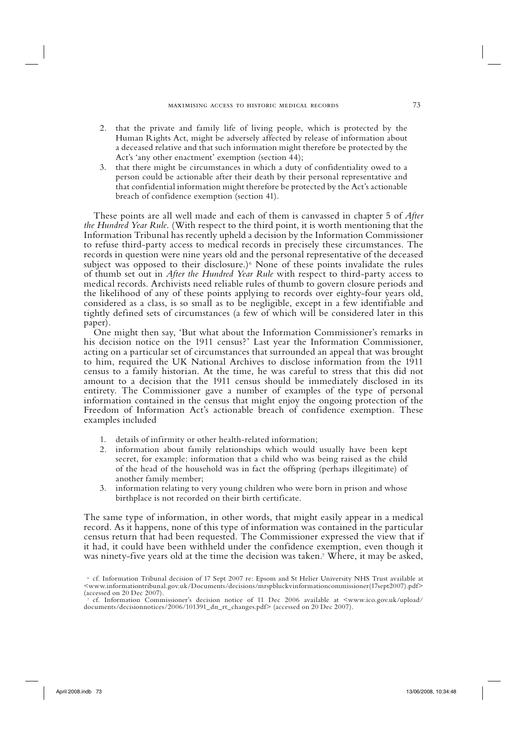- 2. that the private and family life of living people, which is protected by the Human Rights Act, might be adversely affected by release of information about a deceased relative and that such information might therefore be protected by the Act's 'any other enactment' exemption (section 44);
- 3. that there might be circumstances in which a duty of confidentiality owed to a person could be actionable after their death by their personal representative and that confidential information might therefore be protected by the Act's actionable breach of confidence exemption (section 41).

These points are all well made and each of them is canvassed in chapter 5 of *After the Hundred Year Rule*. (With respect to the third point, it is worth mentioning that the Information Tribunal has recently upheld a decision by the Information Commissioner to refuse third-party access to medical records in precisely these circumstances. The records in question were nine years old and the personal representative of the deceased subject was opposed to their disclosure.)<sup>6</sup> None of these points invalidate the rules of thumb set out in *After the Hundred Year Rule* with respect to third-party access to medical records. Archivists need reliable rules of thumb to govern closure periods and the likelihood of any of these points applying to records over eighty-four years old, considered as a class, is so small as to be negligible, except in a few identifiable and tightly defined sets of circumstances (a few of which will be considered later in this paper).

One might then say, 'But what about the Information Commissioner's remarks in his decision notice on the 1911 census?' Last year the Information Commissioner, acting on a particular set of circumstances that surrounded an appeal that was brought to him, required the UK National Archives to disclose information from the 1911 census to a family historian. At the time, he was careful to stress that this did not amount to a decision that the 1911 census should be immediately disclosed in its entirety. The Commissioner gave a number of examples of the type of personal information contained in the census that might enjoy the ongoing protection of the Freedom of Information Act's actionable breach of confidence exemption. These examples included

- 1. details of infirmity or other health-related information;
- 2. information about family relationships which would usually have been kept secret, for example: information that a child who was being raised as the child of the head of the household was in fact the offspring (perhaps illegitimate) of another family member;
- 3. information relating to very young children who were born in prison and whose birthplace is not recorded on their birth certificate.

The same type of information, in other words, that might easily appear in a medical record. As it happens, none of this type of information was contained in the particular census return that had been requested. The Commissioner expressed the view that if it had, it could have been withheld under the confidence exemption, even though it was ninety-five years old at the time the decision was taken.7 Where, it may be asked,

 <sup>6</sup> cf. Information Tribunal decision of 17 Sept 2007 re: Epsom and St Helier University NHS Trust available at <www.informationtribunal.gov.uk/Documents/decisions/mrspbluckvinformationcommissioner(17sept2007).pdf> (accessed on 20 Dec 2007).

 <sup>7</sup> cf. Information Commissioner's decision notice of 11 Dec 2006 available at <www.ico.gov.uk/upload/ documents/decisionnotices/2006/101391\_dn\_rt\_changes.pdf> (accessed on 20 Dec 2007).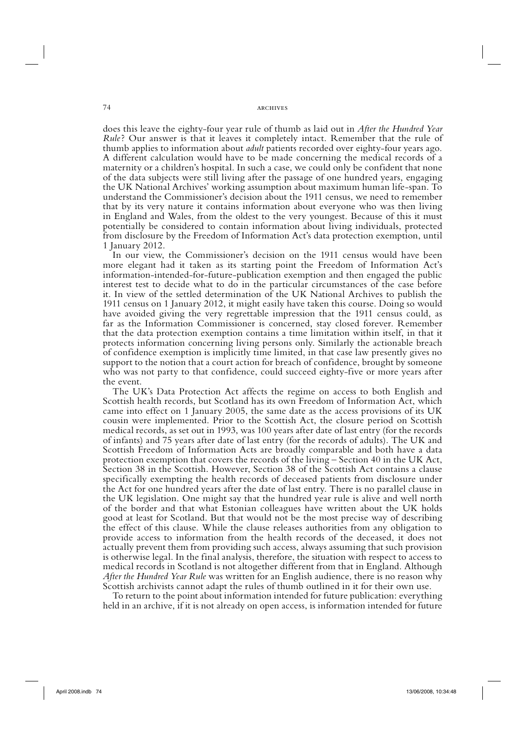#### 74 **and 2** archives

does this leave the eighty-four year rule of thumb as laid out in *After the Hundred Year Rule*? Our answer is that it leaves it completely intact. Remember that the rule of thumb applies to information about *adult* patients recorded over eighty-four years ago. A different calculation would have to be made concerning the medical records of a maternity or a children's hospital. In such a case, we could only be confident that none of the data subjects were still living after the passage of one hundred years, engaging the UK National Archives' working assumption about maximum human life-span. To understand the Commissioner's decision about the 1911 census, we need to remember that by its very nature it contains information about everyone who was then living in England and Wales, from the oldest to the very youngest. Because of this it must potentially be considered to contain information about living individuals, protected from disclosure by the Freedom of Information Act's data protection exemption, until 1 January 2012.

In our view, the Commissioner's decision on the 1911 census would have been more elegant had it taken as its starting point the Freedom of Information Act's information-intended-for-future-publication exemption and then engaged the public interest test to decide what to do in the particular circumstances of the case before it. In view of the settled determination of the UK National Archives to publish the 1911 census on 1 January 2012, it might easily have taken this course. Doing so would have avoided giving the very regrettable impression that the 1911 census could, as far as the Information Commissioner is concerned, stay closed forever. Remember that the data protection exemption contains a time limitation within itself, in that it protects information concerning living persons only. Similarly the actionable breach of confidence exemption is implicitly time limited, in that case law presently gives no support to the notion that a court action for breach of confidence, brought by someone who was not party to that confidence, could succeed eighty-five or more years after the event.

The UK's Data Protection Act affects the regime on access to both English and Scottish health records, but Scotland has its own Freedom of Information Act, which came into effect on 1 January 2005, the same date as the access provisions of its UK cousin were implemented. Prior to the Scottish Act, the closure period on Scottish medical records, as set out in 1993, was 100 years after date of last entry (for the records of infants) and 75 years after date of last entry (for the records of adults). The UK and Scottish Freedom of Information Acts are broadly comparable and both have a data protection exemption that covers the records of the living – Section 40 in the UK Act, Section 38 in the Scottish. However, Section 38 of the Scottish Act contains a clause specifically exempting the health records of deceased patients from disclosure under the Act for one hundred years after the date of last entry. There is no parallel clause in the UK legislation. One might say that the hundred year rule is alive and well north of the border and that what Estonian colleagues have written about the UK holds good at least for Scotland. But that would not be the most precise way of describing the effect of this clause. While the clause releases authorities from any obligation to provide access to information from the health records of the deceased, it does not actually prevent them from providing such access, always assuming that such provision is otherwise legal. In the final analysis, therefore, the situation with respect to access to medical records in Scotland is not altogether different from that in England. Although *After the Hundred Year Rule* was written for an English audience, there is no reason why Scottish archivists cannot adapt the rules of thumb outlined in it for their own use.

To return to the point about information intended for future publication: everything held in an archive, if it is not already on open access, is information intended for future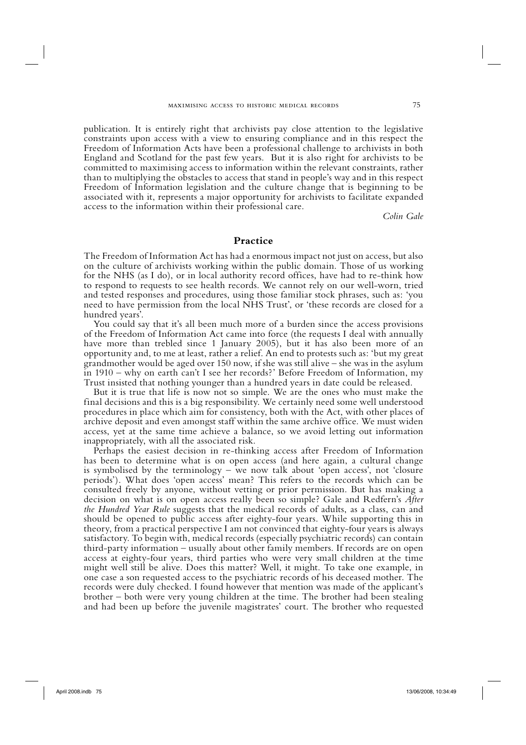publication. It is entirely right that archivists pay close attention to the legislative constraints upon access with a view to ensuring compliance and in this respect the Freedom of Information Acts have been a professional challenge to archivists in both England and Scotland for the past few years. But it is also right for archivists to be committed to maximising access to information within the relevant constraints, rather than to multiplying the obstacles to access that stand in people's way and in this respect Freedom of Information legislation and the culture change that is beginning to be associated with it, represents a major opportunity for archivists to facilitate expanded access to the information within their professional care.

*Colin Gale*

#### **Practice**

The Freedom of Information Act has had a enormous impact not just on access, but also on the culture of archivists working within the public domain. Those of us working for the NHS (as I do), or in local authority record offices, have had to re-think how to respond to requests to see health records. We cannot rely on our well-worn, tried and tested responses and procedures, using those familiar stock phrases, such as: 'you need to have permission from the local NHS Trust', or 'these records are closed for a hundred years'.

You could say that it's all been much more of a burden since the access provisions of the Freedom of Information Act came into force (the requests I deal with annually have more than trebled since 1 January 2005), but it has also been more of an opportunity and, to me at least, rather a relief. An end to protests such as: 'but my great grandmother would be aged over 150 now, if she was still alive – she was in the asylum in 1910 – why on earth can't I see her records?' Before Freedom of Information, my Trust insisted that nothing younger than a hundred years in date could be released.

But it is true that life is now not so simple. We are the ones who must make the final decisions and this is a big responsibility. We certainly need some well understood procedures in place which aim for consistency, both with the Act, with other places of archive deposit and even amongst staff within the same archive office. We must widen access, yet at the same time achieve a balance, so we avoid letting out information inappropriately, with all the associated risk.

Perhaps the easiest decision in re-thinking access after Freedom of Information has been to determine what is on open access (and here again, a cultural change is symbolised by the terminology – we now talk about 'open access', not 'closure periods'). What does 'open access' mean? This refers to the records which can be consulted freely by anyone, without vetting or prior permission. But has making a decision on what is on open access really been so simple? Gale and Redfern's *After the Hundred Year Rule* suggests that the medical records of adults, as a class, can and should be opened to public access after eighty-four years. While supporting this in theory, from a practical perspective I am not convinced that eighty-four years is always satisfactory. To begin with, medical records (especially psychiatric records) can contain third-party information – usually about other family members. If records are on open access at eighty-four years, third parties who were very small children at the time might well still be alive. Does this matter? Well, it might. To take one example, in one case a son requested access to the psychiatric records of his deceased mother. The records were duly checked. I found however that mention was made of the applicant's brother – both were very young children at the time. The brother had been stealing and had been up before the juvenile magistrates' court. The brother who requested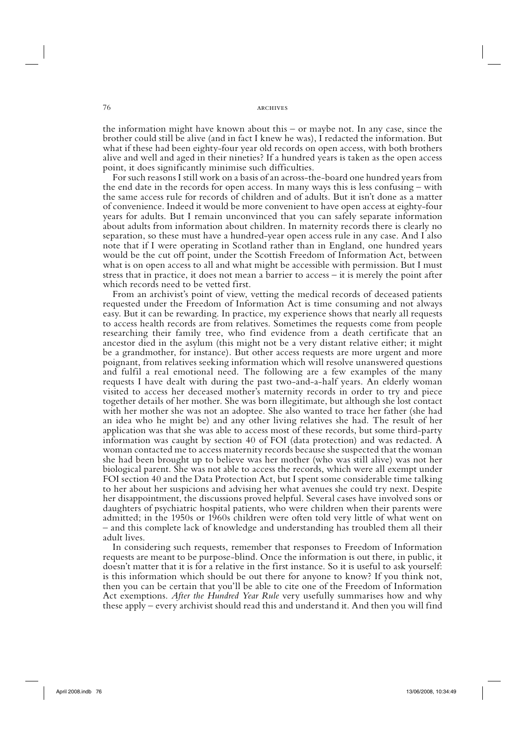76 archives

the information might have known about this – or maybe not. In any case, since the brother could still be alive (and in fact I knew he was), I redacted the information. But what if these had been eighty-four year old records on open access, with both brothers alive and well and aged in their nineties? If a hundred years is taken as the open access point, it does significantly minimise such difficulties.

For such reasons I still work on a basis of an across-the-board one hundred years from the end date in the records for open access. In many ways this is less confusing – with the same access rule for records of children and of adults. But it isn't done as a matter of convenience. Indeed it would be more convenient to have open access at eighty-four years for adults. But I remain unconvinced that you can safely separate information about adults from information about children. In maternity records there is clearly no separation, so these must have a hundred-year open access rule in any case. And I also note that if I were operating in Scotland rather than in England, one hundred years would be the cut off point, under the Scottish Freedom of Information Act, between what is on open access to all and what might be accessible with permission. But I must stress that in practice, it does not mean a barrier to access – it is merely the point after which records need to be vetted first.

From an archivist's point of view, vetting the medical records of deceased patients requested under the Freedom of Information Act is time consuming and not always easy. But it can be rewarding. In practice, my experience shows that nearly all requests to access health records are from relatives. Sometimes the requests come from people researching their family tree, who find evidence from a death certificate that an ancestor died in the asylum (this might not be a very distant relative either; it might be a grandmother, for instance). But other access requests are more urgent and more poignant, from relatives seeking information which will resolve unanswered questions and fulfil a real emotional need. The following are a few examples of the many requests I have dealt with during the past two-and-a-half years. An elderly woman visited to access her deceased mother's maternity records in order to try and piece together details of her mother. She was born illegitimate, but although she lost contact with her mother she was not an adoptee. She also wanted to trace her father (she had an idea who he might be) and any other living relatives she had. The result of her application was that she was able to access most of these records, but some third-party information was caught by section 40 of FOI (data protection) and was redacted. A woman contacted me to access maternity records because she suspected that the woman she had been brought up to believe was her mother (who was still alive) was not her biological parent. She was not able to access the records, which were all exempt under FOI section 40 and the Data Protection Act, but I spent some considerable time talking to her about her suspicions and advising her what avenues she could try next. Despite her disappointment, the discussions proved helpful. Several cases have involved sons or daughters of psychiatric hospital patients, who were children when their parents were admitted; in the 1950s or 1960s children were often told very little of what went on – and this complete lack of knowledge and understanding has troubled them all their adult lives.

In considering such requests, remember that responses to Freedom of Information requests are meant to be purpose-blind. Once the information is out there, in public, it doesn't matter that it is for a relative in the first instance. So it is useful to ask yourself: is this information which should be out there for anyone to know? If you think not, then you can be certain that you'll be able to cite one of the Freedom of Information Act exemptions. *After the Hundred Year Rule* very usefully summarises how and why these apply – every archivist should read this and understand it. And then you will find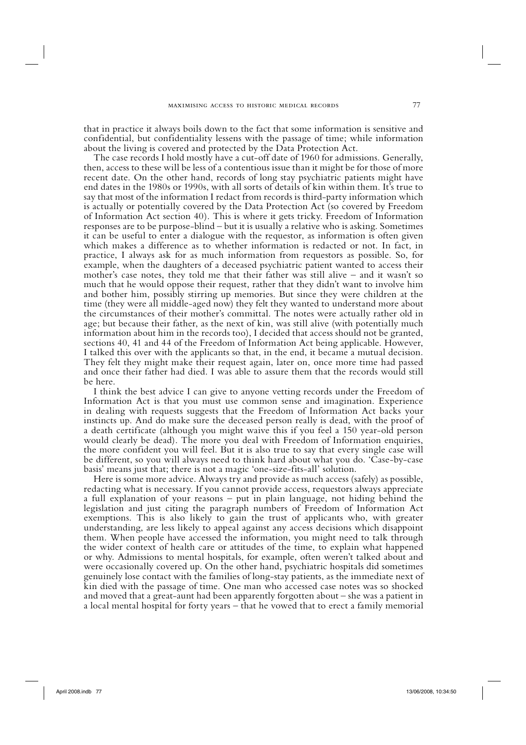that in practice it always boils down to the fact that some information is sensitive and confidential, but confidentiality lessens with the passage of time; while information about the living is covered and protected by the Data Protection Act.

The case records I hold mostly have a cut-off date of 1960 for admissions. Generally, then, access to these will be less of a contentious issue than it might be for those of more recent date. On the other hand, records of long stay psychiatric patients might have end dates in the 1980s or 1990s, with all sorts of details of kin within them. It's true to say that most of the information I redact from records is third-party information which is actually or potentially covered by the Data Protection Act (so covered by Freedom of Information Act section 40). This is where it gets tricky. Freedom of Information responses are to be purpose-blind – but it is usually a relative who is asking. Sometimes it can be useful to enter a dialogue with the requestor, as information is often given which makes a difference as to whether information is redacted or not. In fact, in practice, I always ask for as much information from requestors as possible. So, for example, when the daughters of a deceased psychiatric patient wanted to access their mother's case notes, they told me that their father was still alive – and it wasn't so much that he would oppose their request, rather that they didn't want to involve him and bother him, possibly stirring up memories. But since they were children at the time (they were all middle-aged now) they felt they wanted to understand more about the circumstances of their mother's committal. The notes were actually rather old in age; but because their father, as the next of kin, was still alive (with potentially much information about him in the records too), I decided that access should not be granted, sections 40, 41 and 44 of the Freedom of Information Act being applicable. However, I talked this over with the applicants so that, in the end, it became a mutual decision. They felt they might make their request again, later on, once more time had passed and once their father had died. I was able to assure them that the records would still be here.

I think the best advice I can give to anyone vetting records under the Freedom of Information Act is that you must use common sense and imagination. Experience in dealing with requests suggests that the Freedom of Information Act backs your instincts up. And do make sure the deceased person really is dead, with the proof of a death certificate (although you might waive this if you feel a 150 year-old person would clearly be dead). The more you deal with Freedom of Information enquiries, the more confident you will feel. But it is also true to say that every single case will be different, so you will always need to think hard about what you do. 'Case-by-case basis' means just that; there is not a magic 'one-size-fits-all' solution.

Here is some more advice. Always try and provide as much access (safely) as possible, redacting what is necessary. If you cannot provide access, requestors always appreciate a full explanation of your reasons – put in plain language, not hiding behind the legislation and just citing the paragraph numbers of Freedom of Information Act exemptions. This is also likely to gain the trust of applicants who, with greater understanding, are less likely to appeal against any access decisions which disappoint them. When people have accessed the information, you might need to talk through the wider context of health care or attitudes of the time, to explain what happened or why. Admissions to mental hospitals, for example, often weren't talked about and were occasionally covered up. On the other hand, psychiatric hospitals did sometimes genuinely lose contact with the families of long-stay patients, as the immediate next of kin died with the passage of time. One man who accessed case notes was so shocked and moved that a great-aunt had been apparently forgotten about – she was a patient in a local mental hospital for forty years – that he vowed that to erect a family memorial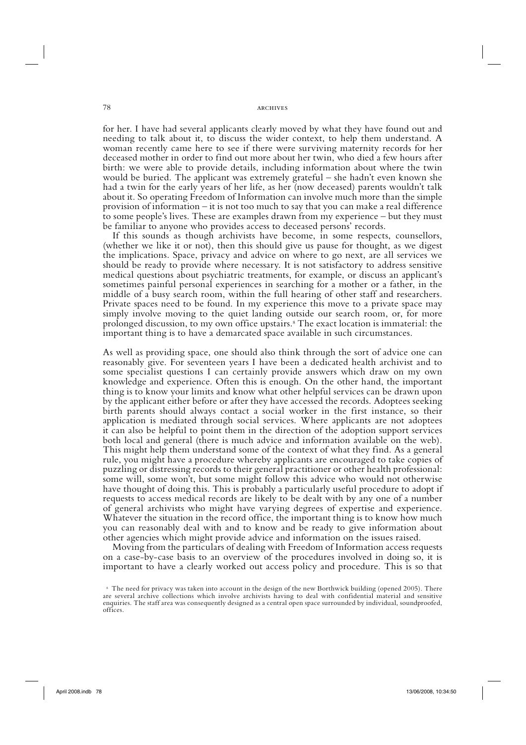#### 78 **ARCHIVES**

for her. I have had several applicants clearly moved by what they have found out and needing to talk about it, to discuss the wider context, to help them understand. A woman recently came here to see if there were surviving maternity records for her deceased mother in order to find out more about her twin, who died a few hours after birth: we were able to provide details, including information about where the twin would be buried. The applicant was extremely grateful – she hadn't even known she had a twin for the early years of her life, as her (now deceased) parents wouldn't talk about it. So operating Freedom of Information can involve much more than the simple provision of information – it is not too much to say that you can make a real difference to some people's lives. These are examples drawn from my experience – but they must be familiar to anyone who provides access to deceased persons' records.

If this sounds as though archivists have become, in some respects, counsellors, (whether we like it or not), then this should give us pause for thought, as we digest the implications. Space, privacy and advice on where to go next, are all services we should be ready to provide where necessary. It is not satisfactory to address sensitive medical questions about psychiatric treatments, for example, or discuss an applicant's sometimes painful personal experiences in searching for a mother or a father, in the middle of a busy search room, within the full hearing of other staff and researchers. Private spaces need to be found. In my experience this move to a private space may simply involve moving to the quiet landing outside our search room, or, for more prolonged discussion, to my own office upstairs.8 The exact location is immaterial: the important thing is to have a demarcated space available in such circumstances.

As well as providing space, one should also think through the sort of advice one can reasonably give. For seventeen years I have been a dedicated health archivist and to some specialist questions I can certainly provide answers which draw on my own knowledge and experience. Often this is enough. On the other hand, the important thing is to know your limits and know what other helpful services can be drawn upon by the applicant either before or after they have accessed the records. Adoptees seeking birth parents should always contact a social worker in the first instance, so their application is mediated through social services. Where applicants are not adoptees it can also be helpful to point them in the direction of the adoption support services both local and general (there is much advice and information available on the web). This might help them understand some of the context of what they find. As a general rule, you might have a procedure whereby applicants are encouraged to take copies of puzzling or distressing records to their general practitioner or other health professional: some will, some won't, but some might follow this advice who would not otherwise have thought of doing this. This is probably a particularly useful procedure to adopt if requests to access medical records are likely to be dealt with by any one of a number of general archivists who might have varying degrees of expertise and experience. Whatever the situation in the record office, the important thing is to know how much you can reasonably deal with and to know and be ready to give information about other agencies which might provide advice and information on the issues raised.

Moving from the particulars of dealing with Freedom of Information access requests on a case-by-case basis to an overview of the procedures involved in doing so, it is important to have a clearly worked out access policy and procedure. This is so that

 <sup>8</sup> The need for privacy was taken into account in the design of the new Borthwick building (opened 2005). There are several archive collections which involve archivists having to deal with confidential material and sensitive enquiries. The staff area was consequently designed as a central open space surrounded by individual, soundproofed, offices.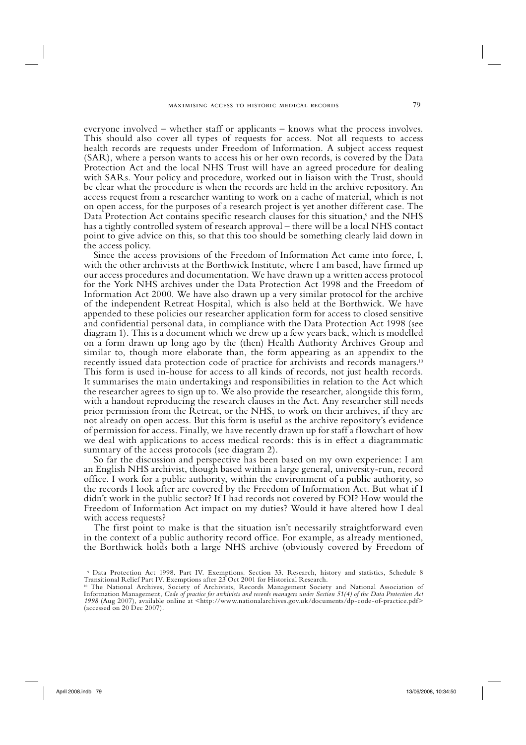everyone involved – whether staff or applicants – knows what the process involves. This should also cover all types of requests for access. Not all requests to access health records are requests under Freedom of Information. A subject access request (SAR), where a person wants to access his or her own records, is covered by the Data Protection Act and the local NHS Trust will have an agreed procedure for dealing with SARs. Your policy and procedure, worked out in liaison with the Trust, should be clear what the procedure is when the records are held in the archive repository. An access request from a researcher wanting to work on a cache of material, which is not on open access, for the purposes of a research project is yet another different case. The Data Protection Act contains specific research clauses for this situation,<sup>9</sup> and the NHS has a tightly controlled system of research approval – there will be a local NHS contact point to give advice on this, so that this too should be something clearly laid down in the access policy.

Since the access provisions of the Freedom of Information Act came into force, I, with the other archivists at the Borthwick Institute, where I am based, have firmed up our access procedures and documentation. We have drawn up a written access protocol for the York NHS archives under the Data Protection Act 1998 and the Freedom of Information Act 2000. We have also drawn up a very similar protocol for the archive of the independent Retreat Hospital, which is also held at the Borthwick. We have appended to these policies our researcher application form for access to closed sensitive and confidential personal data, in compliance with the Data Protection Act 1998 (see diagram 1). This is a document which we drew up a few years back, which is modelled on a form drawn up long ago by the (then) Health Authority Archives Group and similar to, though more elaborate than, the form appearing as an appendix to the recently issued data protection code of practice for archivists and records managers.10 This form is used in-house for access to all kinds of records, not just health records. It summarises the main undertakings and responsibilities in relation to the Act which the researcher agrees to sign up to. We also provide the researcher, alongside this form, with a handout reproducing the research clauses in the Act. Any researcher still needs prior permission from the Retreat, or the NHS, to work on their archives, if they are not already on open access. But this form is useful as the archive repository's evidence of permission for access. Finally, we have recently drawn up for staff a flowchart of how we deal with applications to access medical records: this is in effect a diagrammatic summary of the access protocols (see diagram 2).

So far the discussion and perspective has been based on my own experience: I am an English NHS archivist, though based within a large general, university-run, record office. I work for a public authority, within the environment of a public authority, so the records I look after are covered by the Freedom of Information Act. But what if I didn't work in the public sector? If I had records not covered by FOI? How would the Freedom of Information Act impact on my duties? Would it have altered how I deal with access requests?

The first point to make is that the situation isn't necessarily straightforward even in the context of a public authority record office. For example, as already mentioned, the Borthwick holds both a large NHS archive (obviously covered by Freedom of

 <sup>9</sup> Data Protection Act 1998. Part IV. Exemptions. Section 33. Research, history and statistics, Schedule 8 Transitional Relief Part IV. Exemptions after 23 Oct 2001 for Historical Research.

<sup>10</sup> The National Archives, Society of Archivists, Records Management Society and National Association of Information Management, *Code of practice for archivists and records managers under Section 51(4) of the Data Protection Act 1998* (Aug 2007), available online at <http://www.nationalarchives.gov.uk/documents/dp-code-of-practice.pdf> (accessed on 20 Dec 2007).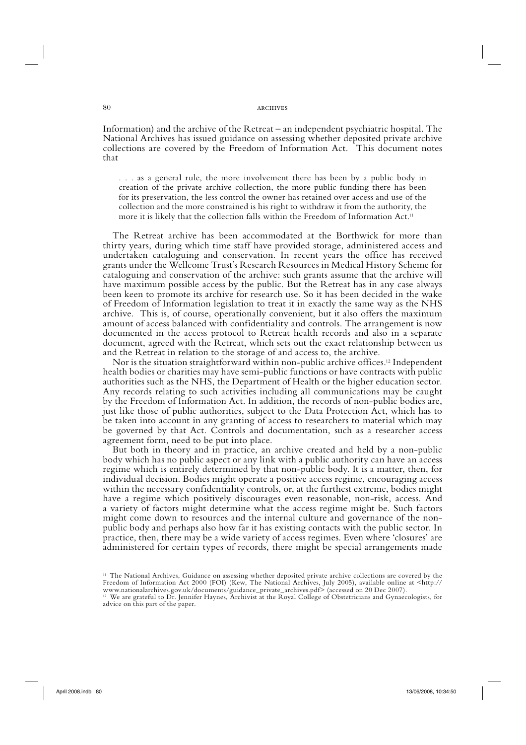#### 80 **ARCHIVES**

Information) and the archive of the Retreat – an independent psychiatric hospital. The National Archives has issued guidance on assessing whether deposited private archive collections are covered by the Freedom of Information Act. This document notes that

. . . as a general rule, the more involvement there has been by a public body in creation of the private archive collection, the more public funding there has been for its preservation, the less control the owner has retained over access and use of the collection and the more constrained is his right to withdraw it from the authority, the more it is likely that the collection falls within the Freedom of Information Act.<sup>11</sup>

The Retreat archive has been accommodated at the Borthwick for more than thirty years, during which time staff have provided storage, administered access and undertaken cataloguing and conservation. In recent years the office has received grants under the Wellcome Trust's Research Resources in Medical History Scheme for cataloguing and conservation of the archive: such grants assume that the archive will have maximum possible access by the public. But the Retreat has in any case always been keen to promote its archive for research use. So it has been decided in the wake of Freedom of Information legislation to treat it in exactly the same way as the NHS archive. This is, of course, operationally convenient, but it also offers the maximum amount of access balanced with confidentiality and controls. The arrangement is now documented in the access protocol to Retreat health records and also in a separate document, agreed with the Retreat, which sets out the exact relationship between us and the Retreat in relation to the storage of and access to, the archive.

Nor is the situation straightforward within non-public archive offices.<sup>12</sup> Independent health bodies or charities may have semi-public functions or have contracts with public authorities such as the NHS, the Department of Health or the higher education sector. Any records relating to such activities including all communications may be caught by the Freedom of Information Act. In addition, the records of non-public bodies are, just like those of public authorities, subject to the Data Protection Act, which has to be taken into account in any granting of access to researchers to material which may be governed by that Act. Controls and documentation, such as a researcher access agreement form, need to be put into place.

But both in theory and in practice, an archive created and held by a non-public body which has no public aspect or any link with a public authority can have an access regime which is entirely determined by that non-public body. It is a matter, then, for individual decision. Bodies might operate a positive access regime, encouraging access within the necessary confidentiality controls, or, at the furthest extreme, bodies might have a regime which positively discourages even reasonable, non-risk, access. And a variety of factors might determine what the access regime might be. Such factors might come down to resources and the internal culture and governance of the nonpublic body and perhaps also how far it has existing contacts with the public sector. In practice, then, there may be a wide variety of access regimes. Even where 'closures' are administered for certain types of records, there might be special arrangements made

<sup>11</sup> The National Archives, Guidance on assessing whether deposited private archive collections are covered by the Freedom of Information Act 2000 (FOI) (Kew, The National Archives, July 2005), available online at <http:// www.nationalarchives.gov.uk/documents/guidance\_private\_archives.pdf> (accessed on 20 Dec 2007).

<sup>12</sup> We are grateful to Dr. Jennifer Haynes, Archivist at the Royal College of Obstetricians and Gynaecologists, for advice on this part of the paper.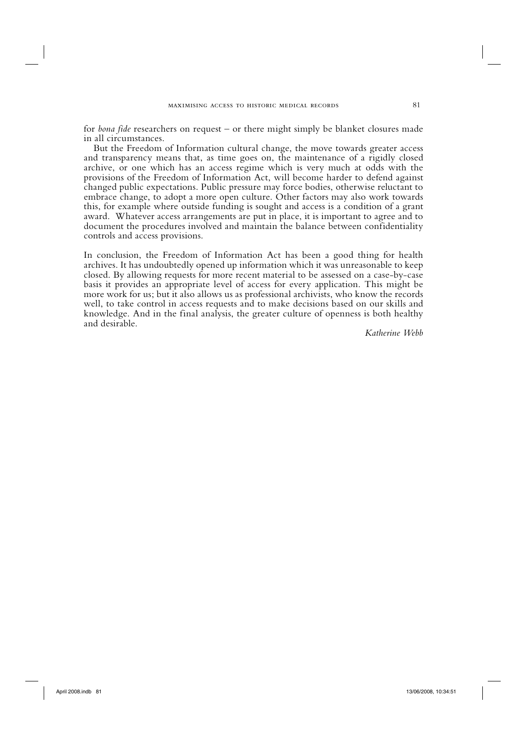for *bona fide* researchers on request – or there might simply be blanket closures made in all circumstances.

But the Freedom of Information cultural change, the move towards greater access and transparency means that, as time goes on, the maintenance of a rigidly closed archive, or one which has an access regime which is very much at odds with the provisions of the Freedom of Information Act, will become harder to defend against changed public expectations. Public pressure may force bodies, otherwise reluctant to embrace change, to adopt a more open culture. Other factors may also work towards this, for example where outside funding is sought and access is a condition of a grant award. Whatever access arrangements are put in place, it is important to agree and to document the procedures involved and maintain the balance between confidentiality controls and access provisions.

In conclusion, the Freedom of Information Act has been a good thing for health archives. It has undoubtedly opened up information which it was unreasonable to keep closed. By allowing requests for more recent material to be assessed on a case-by-case basis it provides an appropriate level of access for every application. This might be more work for us; but it also allows us as professional archivists, who know the records well, to take control in access requests and to make decisions based on our skills and knowledge. And in the final analysis, the greater culture of openness is both healthy and desirable.

*Katherine Webb*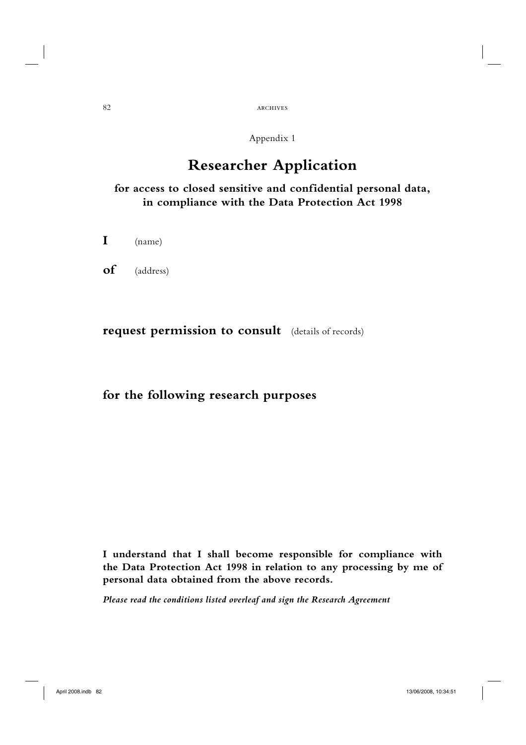## 82 archives

## Appendix 1

# **Researcher Application**

## **for access to closed sensitive and confidential personal data, in compliance with the Data Protection Act 1998**

**I** (name)

**of** (address)

## **request permission to consult** (details of records)

# **for the following research purposes**

**I understand that I shall become responsible for compliance with the Data Protection Act 1998 in relation to any processing by me of personal data obtained from the above records.**

*Please read the conditions listed overleaf and sign the Research Agreement*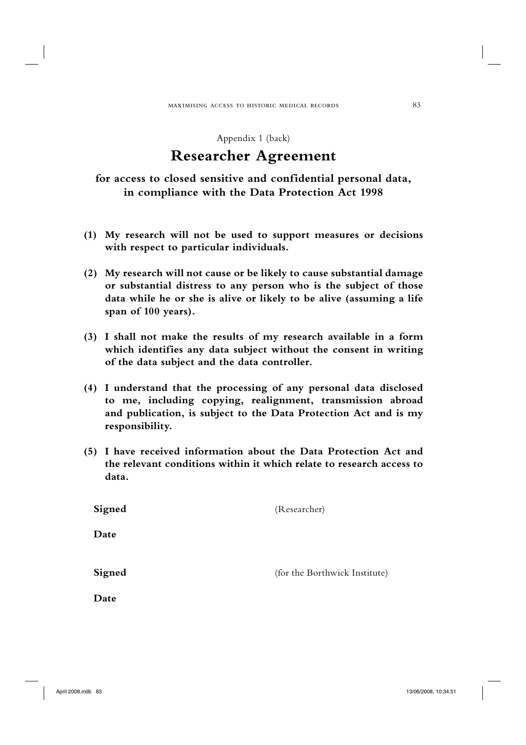Appendix 1 (back)

# **Researcher Agreement**

**for access to closed sensitive and confidential personal data, in compliance with the Data Protection Act 1998**

- **(1) My research will not be used to support measures or decisions with respect to particular individuals.**
- **(2) My research will not cause or be likely to cause substantial damage or substantial distress to any person who is the subject of those data while he or she is alive or likely to be alive (assuming a life span of 100 years).**
- **(3) I shall not make the results of my research available in a form which identifies any data subject without the consent in writing of the data subject and the data controller.**
- **(4) I understand that the processing of any personal data disclosed to me, including copying, realignment, transmission abroad and publication, is subject to the Data Protection Act and is my responsibility.**
- **(5) I have received information about the Data Protection Act and the relevant conditions within it which relate to research access to data.**

| Signed | (Researcher)                  |
|--------|-------------------------------|
| Date   |                               |
| Signed | (for the Borthwick Institute) |
| Date   |                               |